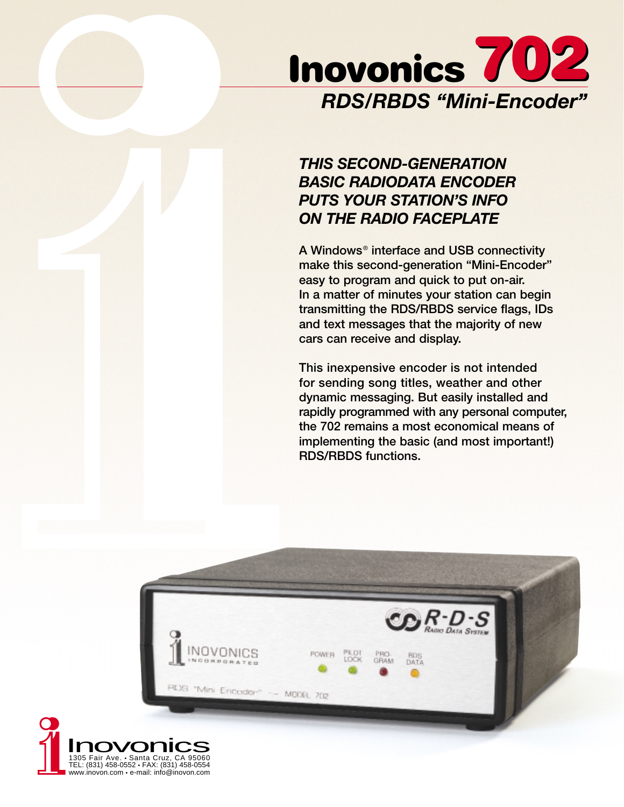

# *THIS SECOND-GENERATION BASIC RADIODATA ENCODER PUTS YOUR STATION'S INFO ON THE RADIO FACEPLATE*

**A Windows**® **interface and USB connectivity make this second-generation "Mini-Encoder" easy to program and quick to put on-air. In a matter of minutes your station can begin transmitting the RDS/RBDS service flags, IDs and text messages that the majority of new cars can receive and display.**

**This inexpensive encoder is not intended for sending song titles, weather and other dynamic messaging. But easily installed and rapidly programmed with any personal computer, the 702 remains a most economical means of implementing the basic (and most important!) RDS/RBDS functions.**